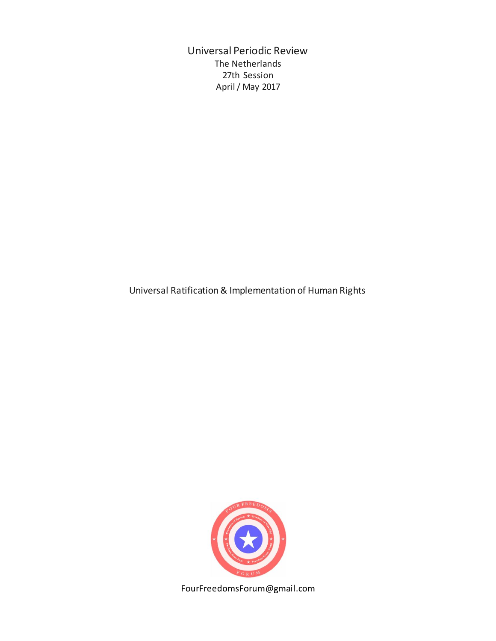Universal Periodic Review The Netherlands 27th Session April / May 2017

Universal Ratification & Implementation of Human Rights



FourFreedomsForum@gmail.com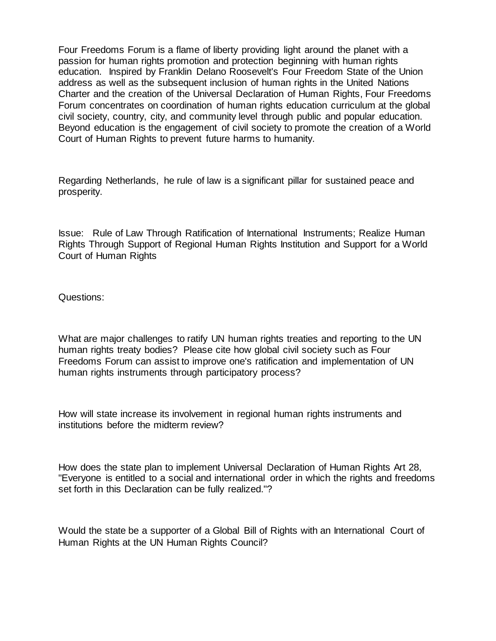Four Freedoms Forum is a flame of liberty providing light around the planet with a passion for human rights promotion and protection beginning with human rights education. Inspired by Franklin Delano Roosevelt's Four Freedom State of the Union address as well as the subsequent inclusion of human rights in the United Nations Charter and the creation of the Universal Declaration of Human Rights, Four Freedoms Forum concentrates on coordination of human rights education curriculum at the global civil society, country, city, and community level through public and popular education. Beyond education is the engagement of civil society to promote the creation of a World Court of Human Rights to prevent future harms to humanity.

Regarding Netherlands, he rule of law is a significant pillar for sustained peace and prosperity.

Issue: Rule of Law Through Ratification of International Instruments; Realize Human Rights Through Support of Regional Human Rights Institution and Support for a World Court of Human Rights

Questions:

What are major challenges to ratify UN human rights treaties and reporting to the UN human rights treaty bodies? Please cite how global civil society such as Four Freedoms Forum can assist to improve one's ratification and implementation of UN human rights instruments through participatory process?

How will state increase its involvement in regional human rights instruments and institutions before the midterm review?

How does the state plan to implement Universal Declaration of Human Rights Art 28, "Everyone is entitled to a social and international order in which the rights and freedoms set forth in this Declaration can be fully realized."?

Would the state be a supporter of a Global Bill of Rights with an International Court of Human Rights at the UN Human Rights Council?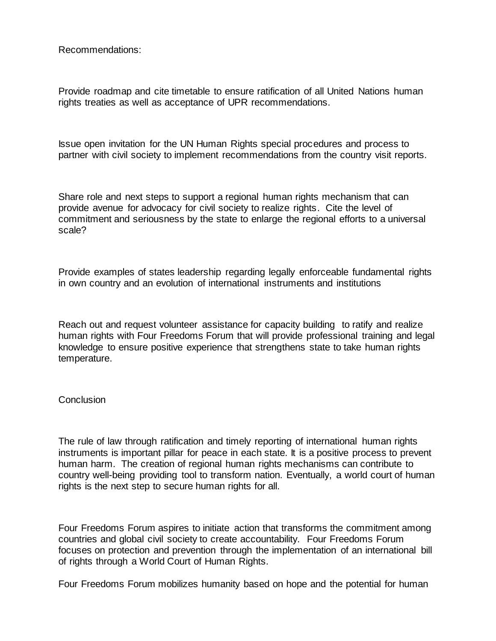Recommendations:

Provide roadmap and cite timetable to ensure ratification of all United Nations human rights treaties as well as acceptance of UPR recommendations.

Issue open invitation for the UN Human Rights special procedures and process to partner with civil society to implement recommendations from the country visit reports.

Share role and next steps to support a regional human rights mechanism that can provide avenue for advocacy for civil society to realize rights. Cite the level of commitment and seriousness by the state to enlarge the regional efforts to a universal scale?

Provide examples of states leadership regarding legally enforceable fundamental rights in own country and an evolution of international instruments and institutions

Reach out and request volunteer assistance for capacity building to ratify and realize human rights with Four Freedoms Forum that will provide professional training and legal knowledge to ensure positive experience that strengthens state to take human rights temperature.

## **Conclusion**

The rule of law through ratification and timely reporting of international human rights instruments is important pillar for peace in each state. It is a positive process to prevent human harm. The creation of regional human rights mechanisms can contribute to country well-being providing tool to transform nation. Eventually, a world court of human rights is the next step to secure human rights for all.

Four Freedoms Forum aspires to initiate action that transforms the commitment among countries and global civil society to create accountability. Four Freedoms Forum focuses on protection and prevention through the implementation of an international bill of rights through a World Court of Human Rights.

Four Freedoms Forum mobilizes humanity based on hope and the potential for human